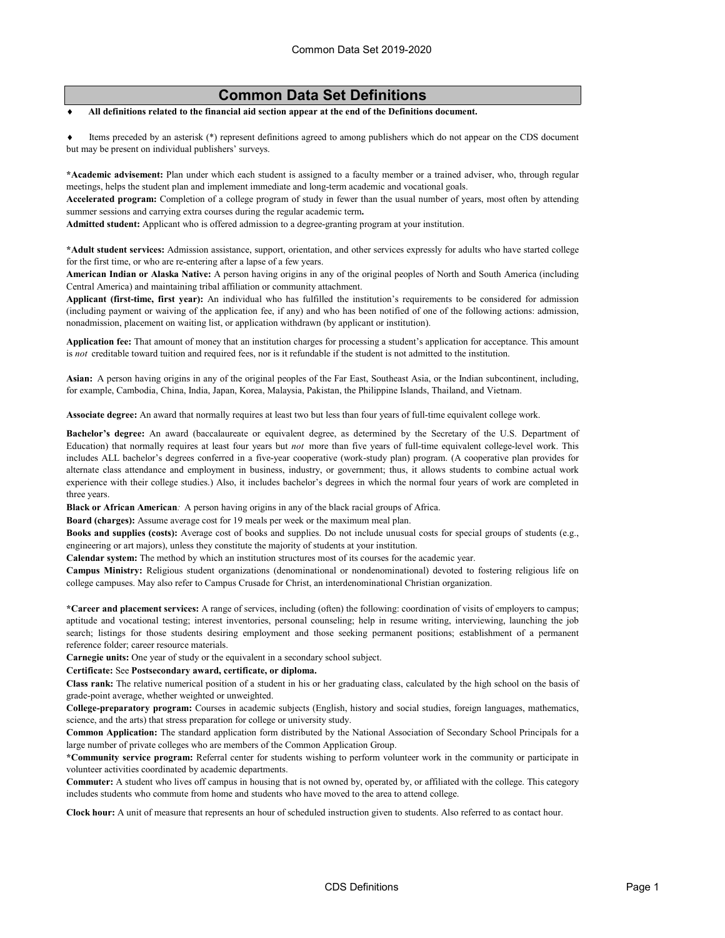## **Common Data Set Definitions**

All definitions related to the financial aid section appear at the end of the Definitions document.

Items preceded by an asterisk (\*) represent definitions agreed to among publishers which do not appear on the CDS document but may be present on individual publishers' surveys.

**\*Academic advisement:** Plan under which each student is assigned to a faculty member or a trained adviser, who, through regular meetings, helps the student plan and implement immediate and long-term academic and vocational goals.

**Accelerated program:** Completion of a college program of study in fewer than the usual number of years, most often by attending summer sessions and carrying extra courses during the regular academic term**.**

**Admitted student:** Applicant who is offered admission to a degree-granting program at your institution.

**\*Adult student services:** Admission assistance, support, orientation, and other services expressly for adults who have started college for the first time, or who are re-entering after a lapse of a few years.

**American Indian or Alaska Native:** A person having origins in any of the original peoples of North and South America (including Central America) and maintaining tribal affiliation or community attachment.

**Applicant (first-time, first year):** An individual who has fulfilled the institution's requirements to be considered for admission (including payment or waiving of the application fee, if any) and who has been notified of one of the following actions: admission, nonadmission, placement on waiting list, or application withdrawn (by applicant or institution).

**Application fee:** That amount of money that an institution charges for processing a student's application for acceptance. This amount is *not* creditable toward tuition and required fees, nor is it refundable if the student is not admitted to the institution.

**Asian:** A person having origins in any of the original peoples of the Far East, Southeast Asia, or the Indian subcontinent, including, for example, Cambodia, China, India, Japan, Korea, Malaysia, Pakistan, the Philippine Islands, Thailand, and Vietnam.

**Associate degree:** An award that normally requires at least two but less than four years of full-time equivalent college work.

**Bachelor's degree:** An award (baccalaureate or equivalent degree, as determined by the Secretary of the U.S. Department of Education) that normally requires at least four years but *not* more than five years of full-time equivalent college-level work. This includes ALL bachelor's degrees conferred in a five-year cooperative (work-study plan) program. (A cooperative plan provides for alternate class attendance and employment in business, industry, or government; thus, it allows students to combine actual work experience with their college studies.) Also, it includes bachelor's degrees in which the normal four years of work are completed in three years.

**Black or African American***:* A person having origins in any of the black racial groups of Africa.

**Board (charges):** Assume average cost for 19 meals per week or the maximum meal plan.

**Books and supplies (costs):** Average cost of books and supplies. Do not include unusual costs for special groups of students (e.g., engineering or art majors), unless they constitute the majority of students at your institution.

**Calendar system:** The method by which an institution structures most of its courses for the academic year.

**Campus Ministry:** Religious student organizations (denominational or nondenominational) devoted to fostering religious life on college campuses. May also refer to Campus Crusade for Christ, an interdenominational Christian organization.

**\*Career and placement services:** A range of services, including (often) the following: coordination of visits of employers to campus; aptitude and vocational testing; interest inventories, personal counseling; help in resume writing, interviewing, launching the job search; listings for those students desiring employment and those seeking permanent positions; establishment of a permanent reference folder; career resource materials.

**Carnegie units:** One year of study or the equivalent in a secondary school subject.

**Certificate:** See **Postsecondary award, certificate, or diploma.**

**Class rank:** The relative numerical position of a student in his or her graduating class, calculated by the high school on the basis of grade-point average, whether weighted or unweighted.

**College-preparatory program:** Courses in academic subjects (English, history and social studies, foreign languages, mathematics, science, and the arts) that stress preparation for college or university study.

**Common Application:** The standard application form distributed by the National Association of Secondary School Principals for a large number of private colleges who are members of the Common Application Group.

**\*Community service program:** Referral center for students wishing to perform volunteer work in the community or participate in volunteer activities coordinated by academic departments.

**Commuter:** A student who lives off campus in housing that is not owned by, operated by, or affiliated with the college. This category includes students who commute from home and students who have moved to the area to attend college.

**Clock hour:** A unit of measure that represents an hour of scheduled instruction given to students. Also referred to as contact hour.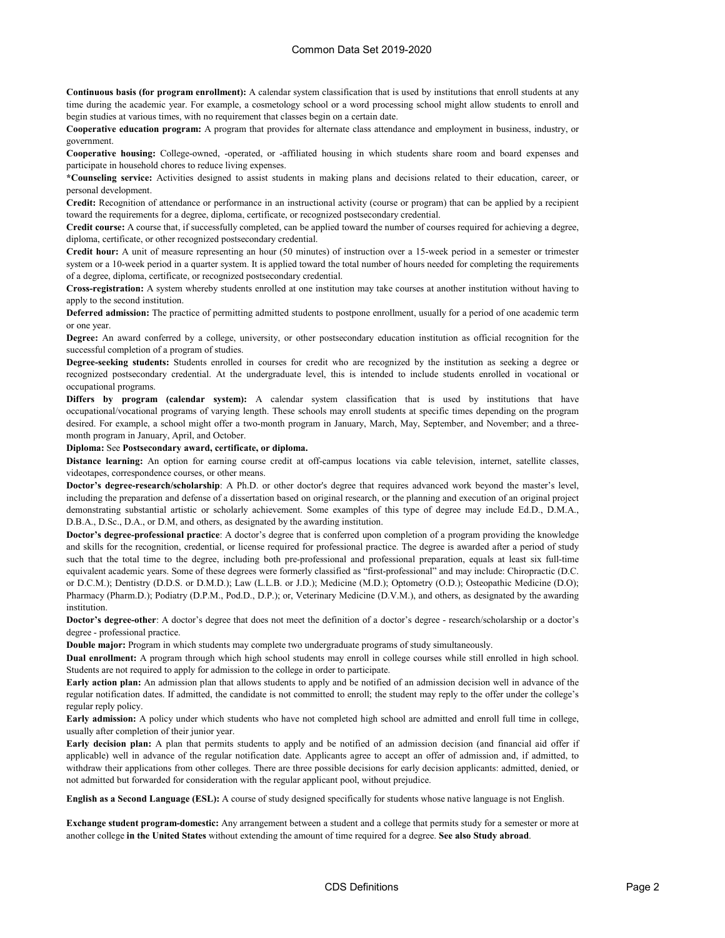**Continuous basis (for program enrollment):** A calendar system classification that is used by institutions that enroll students at any time during the academic year. For example, a cosmetology school or a word processing school might allow students to enroll and begin studies at various times, with no requirement that classes begin on a certain date.

**Cooperative education program:** A program that provides for alternate class attendance and employment in business, industry, or government.

**Cooperative housing:** College-owned, -operated, or -affiliated housing in which students share room and board expenses and participate in household chores to reduce living expenses.

**\*Counseling service:** Activities designed to assist students in making plans and decisions related to their education, career, or personal development.

**Credit:** Recognition of attendance or performance in an instructional activity (course or program) that can be applied by a recipient toward the requirements for a degree, diploma, certificate, or recognized postsecondary credential.

**Credit course:** A course that, if successfully completed, can be applied toward the number of courses required for achieving a degree, diploma, certificate, or other recognized postsecondary credential.

**Credit hour:** A unit of measure representing an hour (50 minutes) of instruction over a 15-week period in a semester or trimester system or a 10-week period in a quarter system. It is applied toward the total number of hours needed for completing the requirements of a degree, diploma, certificate, or recognized postsecondary credential.

**Cross-registration:** A system whereby students enrolled at one institution may take courses at another institution without having to apply to the second institution.

**Deferred admission:** The practice of permitting admitted students to postpone enrollment, usually for a period of one academic term or one year.

**Degree:** An award conferred by a college, university, or other postsecondary education institution as official recognition for the successful completion of a program of studies.

**Degree-seeking students:** Students enrolled in courses for credit who are recognized by the institution as seeking a degree or recognized postsecondary credential. At the undergraduate level, this is intended to include students enrolled in vocational or occupational programs.

**Differs by program (calendar system):** A calendar system classification that is used by institutions that have occupational/vocational programs of varying length. These schools may enroll students at specific times depending on the program desired. For example, a school might offer a two-month program in January, March, May, September, and November; and a threemonth program in January, April, and October.

**Diploma:** See **Postsecondary award, certificate, or diploma.**

**Distance learning:** An option for earning course credit at off-campus locations via cable television, internet, satellite classes, videotapes, correspondence courses, or other means.

**Doctor's degree-research/scholarship**: A Ph.D. or other doctor's degree that requires advanced work beyond the master's level, including the preparation and defense of a dissertation based on original research, or the planning and execution of an original project demonstrating substantial artistic or scholarly achievement. Some examples of this type of degree may include Ed.D., D.M.A., D.B.A., D.Sc., D.A., or D.M, and others, as designated by the awarding institution.

**Doctor's degree-professional practice**: A doctor's degree that is conferred upon completion of a program providing the knowledge and skills for the recognition, credential, or license required for professional practice. The degree is awarded after a period of study such that the total time to the degree, including both pre-professional and professional preparation, equals at least six full-time equivalent academic years. Some of these degrees were formerly classified as "first-professional" and may include: Chiropractic (D.C. or D.C.M.); Dentistry (D.D.S. or D.M.D.); Law (L.L.B. or J.D.); Medicine (M.D.); Optometry (O.D.); Osteopathic Medicine (D.O); Pharmacy (Pharm.D.); Podiatry (D.P.M., Pod.D., D.P.); or, Veterinary Medicine (D.V.M.), and others, as designated by the awarding institution.

**Doctor's degree-other**: A doctor's degree that does not meet the definition of a doctor's degree - research/scholarship or a doctor's degree - professional practice.

**Double major:** Program in which students may complete two undergraduate programs of study simultaneously.

**Dual enrollment:** A program through which high school students may enroll in college courses while still enrolled in high school. Students are not required to apply for admission to the college in order to participate.

**Early action plan:** An admission plan that allows students to apply and be notified of an admission decision well in advance of the regular notification dates. If admitted, the candidate is not committed to enroll; the student may reply to the offer under the college's regular reply policy.

**Early admission:** A policy under which students who have not completed high school are admitted and enroll full time in college, usually after completion of their junior year.

**Early decision plan:** A plan that permits students to apply and be notified of an admission decision (and financial aid offer if applicable) well in advance of the regular notification date. Applicants agree to accept an offer of admission and, if admitted, to withdraw their applications from other colleges. There are three possible decisions for early decision applicants: admitted, denied, or not admitted but forwarded for consideration with the regular applicant pool, without prejudice.

**English as a Second Language (ESL):** A course of study designed specifically for students whose native language is not English.

**Exchange student program-domestic:** Any arrangement between a student and a college that permits study for a semester or more at another college **in the United States** without extending the amount of time required for a degree. **See also Study abroad**.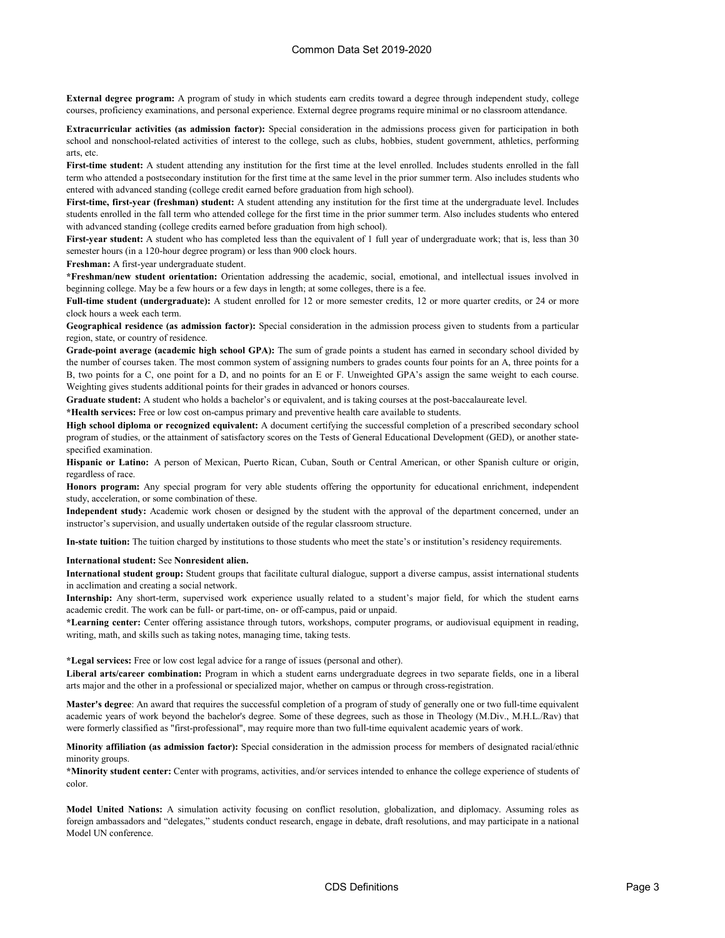**External degree program:** A program of study in which students earn credits toward a degree through independent study, college courses, proficiency examinations, and personal experience. External degree programs require minimal or no classroom attendance.

**Extracurricular activities (as admission factor):** Special consideration in the admissions process given for participation in both school and nonschool-related activities of interest to the college, such as clubs, hobbies, student government, athletics, performing arts, etc.

**First-time student:** A student attending any institution for the first time at the level enrolled. Includes students enrolled in the fall term who attended a postsecondary institution for the first time at the same level in the prior summer term. Also includes students who entered with advanced standing (college credit earned before graduation from high school).

**First-time, first-year (freshman) student:** A student attending any institution for the first time at the undergraduate level. Includes students enrolled in the fall term who attended college for the first time in the prior summer term. Also includes students who entered with advanced standing (college credits earned before graduation from high school).

**First-year student:** A student who has completed less than the equivalent of 1 full year of undergraduate work; that is, less than 30 semester hours (in a 120-hour degree program) or less than 900 clock hours.

**Freshman:** A first-year undergraduate student.

**\*Freshman/new student orientation:** Orientation addressing the academic, social, emotional, and intellectual issues involved in beginning college. May be a few hours or a few days in length; at some colleges, there is a fee.

**Full-time student (undergraduate):** A student enrolled for 12 or more semester credits, 12 or more quarter credits, or 24 or more clock hours a week each term.

**Geographical residence (as admission factor):** Special consideration in the admission process given to students from a particular region, state, or country of residence.

**Grade-point average (academic high school GPA):** The sum of grade points a student has earned in secondary school divided by the number of courses taken. The most common system of assigning numbers to grades counts four points for an A, three points for a B, two points for a C, one point for a D, and no points for an E or F. Unweighted GPA's assign the same weight to each course. Weighting gives students additional points for their grades in advanced or honors courses.

**Graduate student:** A student who holds a bachelor's or equivalent, and is taking courses at the post-baccalaureate level.

**\*Health services:** Free or low cost on-campus primary and preventive health care available to students.

**High school diploma or recognized equivalent:** A document certifying the successful completion of a prescribed secondary school program of studies, or the attainment of satisfactory scores on the Tests of General Educational Development (GED), or another statespecified examination.

**Hispanic or Latino:** A person of Mexican, Puerto Rican, Cuban, South or Central American, or other Spanish culture or origin, regardless of race.

**Honors program:** Any special program for very able students offering the opportunity for educational enrichment, independent study, acceleration, or some combination of these.

**Independent study:** Academic work chosen or designed by the student with the approval of the department concerned, under an instructor's supervision, and usually undertaken outside of the regular classroom structure.

**In-state tuition:** The tuition charged by institutions to those students who meet the state's or institution's residency requirements.

**International student:** See **Nonresident alien.**

**International student group:** Student groups that facilitate cultural dialogue, support a diverse campus, assist international students in acclimation and creating a social network.

**Internship:** Any short-term, supervised work experience usually related to a student's major field, for which the student earns academic credit. The work can be full- or part-time, on- or off-campus, paid or unpaid.

**\*Learning center:** Center offering assistance through tutors, workshops, computer programs, or audiovisual equipment in reading, writing, math, and skills such as taking notes, managing time, taking tests.

**\*Legal services:** Free or low cost legal advice for a range of issues (personal and other).

**Liberal arts/career combination:** Program in which a student earns undergraduate degrees in two separate fields, one in a liberal arts major and the other in a professional or specialized major, whether on campus or through cross-registration.

**Master's degree**: An award that requires the successful completion of a program of study of generally one or two full-time equivalent academic years of work beyond the bachelor's degree. Some of these degrees, such as those in Theology (M.Div., M.H.L./Rav) that were formerly classified as "first-professional", may require more than two full-time equivalent academic years of work.

**Minority affiliation (as admission factor):** Special consideration in the admission process for members of designated racial/ethnic minority groups.

**\*Minority student center:** Center with programs, activities, and/or services intended to enhance the college experience of students of color.

**Model United Nations:** A simulation activity focusing on conflict resolution, globalization, and diplomacy. Assuming roles as foreign ambassadors and "delegates," students conduct research, engage in debate, draft resolutions, and may participate in a national Model UN conference.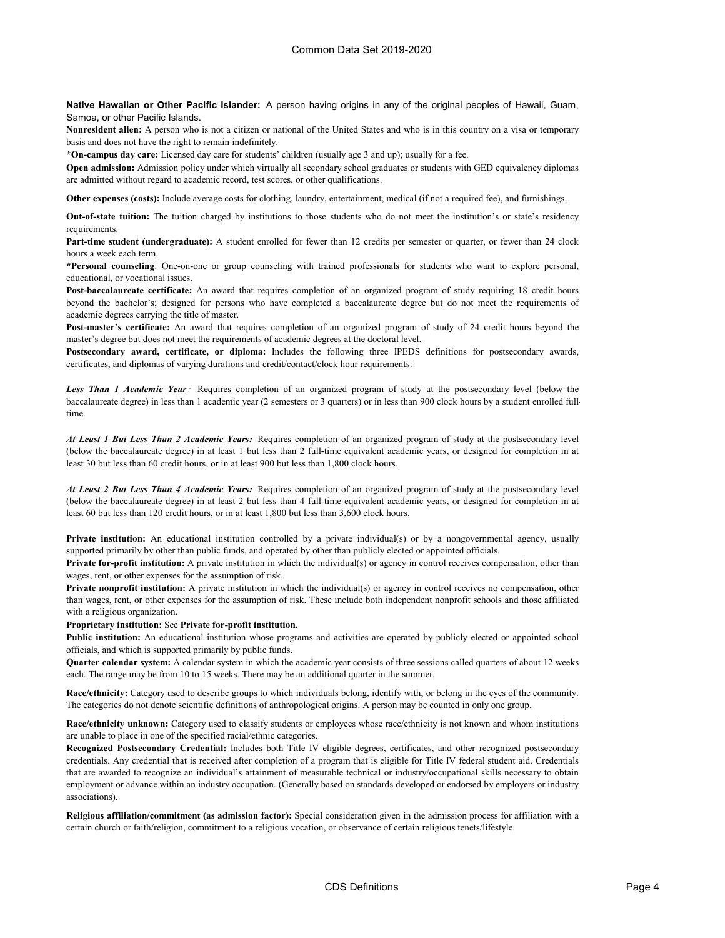**Native Hawaiian or Other Pacific Islander:** A person having origins in any of the original peoples of Hawaii, Guam, Samoa, or other Pacific Islands.

**Nonresident alien:** A person who is not a citizen or national of the United States and who is in this country on a visa or temporary basis and does not have the right to remain indefinitely.

**\*On-campus day care:** Licensed day care for students' children (usually age 3 and up); usually for a fee.

**Open admission:** Admission policy under which virtually all secondary school graduates or students with GED equivalency diplomas are admitted without regard to academic record, test scores, or other qualifications.

**Other expenses (costs):** Include average costs for clothing, laundry, entertainment, medical (if not a required fee), and furnishings.

**Out-of-state tuition:** The tuition charged by institutions to those students who do not meet the institution's or state's residency requirements.

**Part-time student (undergraduate):** A student enrolled for fewer than 12 credits per semester or quarter, or fewer than 24 clock hours a week each term.

**\*Personal counseling**: One-on-one or group counseling with trained professionals for students who want to explore personal, educational, or vocational issues.

**Post-baccalaureate certificate:** An award that requires completion of an organized program of study requiring 18 credit hours beyond the bachelor's; designed for persons who have completed a baccalaureate degree but do not meet the requirements of academic degrees carrying the title of master.

**Post-master's certificate:** An award that requires completion of an organized program of study of 24 credit hours beyond the master's degree but does not meet the requirements of academic degrees at the doctoral level.

**Postsecondary award, certificate, or diploma:** Includes the following three IPEDS definitions for postsecondary awards, certificates, and diplomas of varying durations and credit/contact/clock hour requirements:

*Less Than 1 Academic Year:* Requires completion of an organized program of study at the postsecondary level (below the baccalaureate degree) in less than 1 academic year (2 semesters or 3 quarters) or in less than 900 clock hours by a student enrolled fulltime.

*At Least 1 But Less Than 2 Academic Years:* Requires completion of an organized program of study at the postsecondary level (below the baccalaureate degree) in at least 1 but less than 2 full-time equivalent academic years, or designed for completion in at least 30 but less than 60 credit hours, or in at least 900 but less than 1,800 clock hours.

*At Least 2 But Less Than 4 Academic Years:* Requires completion of an organized program of study at the postsecondary level (below the baccalaureate degree) in at least 2 but less than 4 full-time equivalent academic years, or designed for completion in at least 60 but less than 120 credit hours, or in at least 1,800 but less than 3,600 clock hours.

**Private institution:** An educational institution controlled by a private individual(s) or by a nongovernmental agency, usually supported primarily by other than public funds, and operated by other than publicly elected or appointed officials.

**Private for-profit institution:** A private institution in which the individual(s) or agency in control receives compensation, other than wages, rent, or other expenses for the assumption of risk.

**Private nonprofit institution:** A private institution in which the individual(s) or agency in control receives no compensation, other than wages, rent, or other expenses for the assumption of risk. These include both independent nonprofit schools and those affiliated with a religious organization.

**Proprietary institution:** See **Private for-profit institution.**

**Public institution:** An educational institution whose programs and activities are operated by publicly elected or appointed school officials, and which is supported primarily by public funds.

**Quarter calendar system:** A calendar system in which the academic year consists of three sessions called quarters of about 12 weeks each. The range may be from 10 to 15 weeks. There may be an additional quarter in the summer.

**Race/ethnicity:** Category used to describe groups to which individuals belong, identify with, or belong in the eyes of the community. The categories do not denote scientific definitions of anthropological origins. A person may be counted in only one group.

**Race/ethnicity unknown:** Category used to classify students or employees whose race/ethnicity is not known and whom institutions are unable to place in one of the specified racial/ethnic categories.

**Recognized Postsecondary Credential:** Includes both Title IV eligible degrees, certificates, and other recognized postsecondary credentials. Any credential that is received after completion of a program that is eligible for Title IV federal student aid. Credentials that are awarded to recognize an individual's attainment of measurable technical or industry/occupational skills necessary to obtain employment or advance within an industry occupation. (Generally based on standards developed or endorsed by employers or industry associations).

**Religious affiliation/commitment (as admission factor):** Special consideration given in the admission process for affiliation with a certain church or faith/religion, commitment to a religious vocation, or observance of certain religious tenets/lifestyle.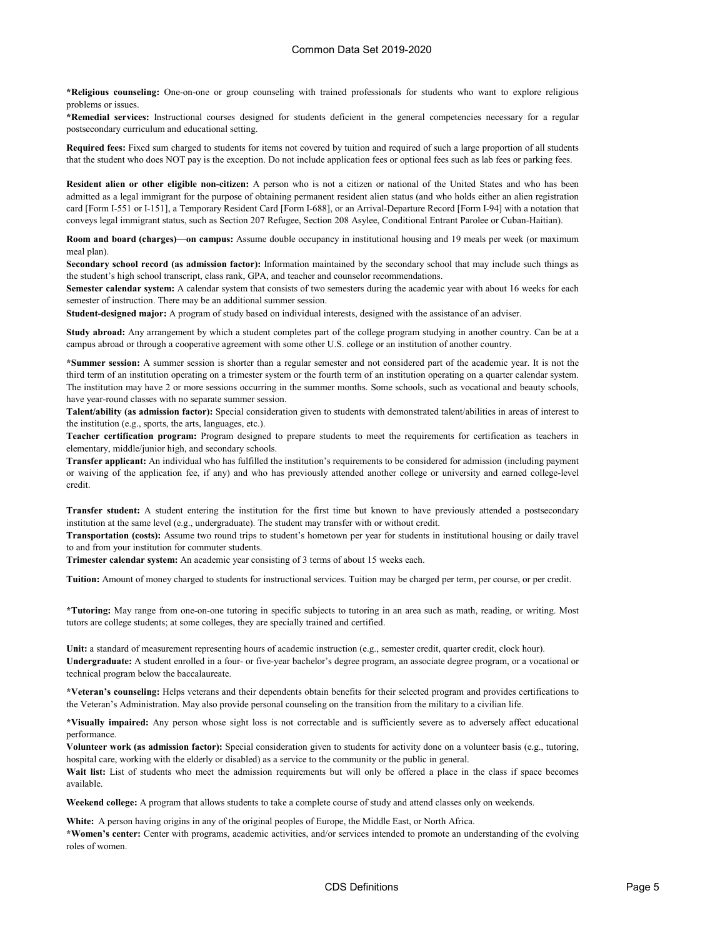**\*Religious counseling:** One-on-one or group counseling with trained professionals for students who want to explore religious problems or issues.

**\*Remedial services:** Instructional courses designed for students deficient in the general competencies necessary for a regular postsecondary curriculum and educational setting.

**Required fees:** Fixed sum charged to students for items not covered by tuition and required of such a large proportion of all students that the student who does NOT pay is the exception. Do not include application fees or optional fees such as lab fees or parking fees.

**Resident alien or other eligible non-citizen:** A person who is not a citizen or national of the United States and who has been admitted as a legal immigrant for the purpose of obtaining permanent resident alien status (and who holds either an alien registration card [Form I-551 or I-151], a Temporary Resident Card [Form I-688], or an Arrival-Departure Record [Form I-94] with a notation that conveys legal immigrant status, such as Section 207 Refugee, Section 208 Asylee, Conditional Entrant Parolee or Cuban-Haitian).

**Room and board (charges)—on campus:** Assume double occupancy in institutional housing and 19 meals per week (or maximum meal plan).

**Secondary school record (as admission factor):** Information maintained by the secondary school that may include such things as the student's high school transcript, class rank, GPA, and teacher and counselor recommendations.

**Semester calendar system:** A calendar system that consists of two semesters during the academic year with about 16 weeks for each semester of instruction. There may be an additional summer session.

**Student-designed major:** A program of study based on individual interests, designed with the assistance of an adviser.

**Study abroad:** Any arrangement by which a student completes part of the college program studying in another country. Can be at a campus abroad or through a cooperative agreement with some other U.S. college or an institution of another country.

**\*Summer session:** A summer session is shorter than a regular semester and not considered part of the academic year. It is not the third term of an institution operating on a trimester system or the fourth term of an institution operating on a quarter calendar system. The institution may have 2 or more sessions occurring in the summer months. Some schools, such as vocational and beauty schools, have year-round classes with no separate summer session.

**Talent/ability (as admission factor):** Special consideration given to students with demonstrated talent/abilities in areas of interest to the institution (e.g., sports, the arts, languages, etc.).

**Teacher certification program:** Program designed to prepare students to meet the requirements for certification as teachers in elementary, middle/junior high, and secondary schools.

**Transfer applicant:** An individual who has fulfilled the institution's requirements to be considered for admission (including payment or waiving of the application fee, if any) and who has previously attended another college or university and earned college-level credit.

**Transfer student:** A student entering the institution for the first time but known to have previously attended a postsecondary institution at the same level (e.g., undergraduate). The student may transfer with or without credit.

**Transportation (costs):** Assume two round trips to student's hometown per year for students in institutional housing or daily travel to and from your institution for commuter students.

**Trimester calendar system:** An academic year consisting of 3 terms of about 15 weeks each.

**Tuition:** Amount of money charged to students for instructional services. Tuition may be charged per term, per course, or per credit.

**\*Tutoring:** May range from one-on-one tutoring in specific subjects to tutoring in an area such as math, reading, or writing. Most tutors are college students; at some colleges, they are specially trained and certified.

**Unit:** a standard of measurement representing hours of academic instruction (e.g., semester credit, quarter credit, clock hour). **Undergraduate:** A student enrolled in a four- or five-year bachelor's degree program, an associate degree program, or a vocational or technical program below the baccalaureate.

**\*Veteran's counseling:** Helps veterans and their dependents obtain benefits for their selected program and provides certifications to the Veteran's Administration. May also provide personal counseling on the transition from the military to a civilian life.

**\*Visually impaired:** Any person whose sight loss is not correctable and is sufficiently severe as to adversely affect educational performance.

**Volunteer work (as admission factor):** Special consideration given to students for activity done on a volunteer basis (e.g., tutoring, hospital care, working with the elderly or disabled) as a service to the community or the public in general.

Wait list: List of students who meet the admission requirements but will only be offered a place in the class if space becomes available.

**Weekend college:** A program that allows students to take a complete course of study and attend classes only on weekends.

**White:** A person having origins in any of the original peoples of Europe, the Middle East, or North Africa.

**\*Women's center:** Center with programs, academic activities, and/or services intended to promote an understanding of the evolving roles of women.